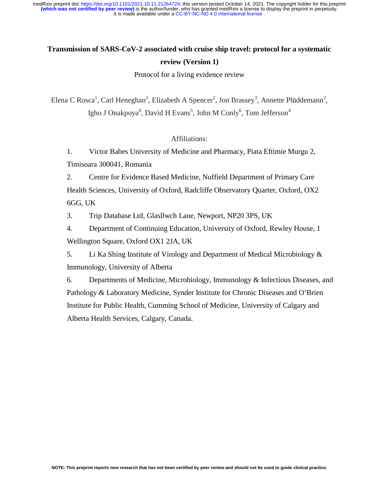# **Transmission of SARS-CoV-2 associated with cruise ship travel: protocol for a systematic review (Version 1)**

Protocol for a living evidence review

Elena C Rosca<sup>1</sup>, Carl Heneghan<sup>2</sup>, Elizabeth A Spencer<sup>2</sup>, Jon Brassey<sup>3</sup>, Annette Plüddemann<sup>2</sup>, Igho J Onakpoya<sup>4</sup>, David H Evans<sup>5</sup>, John M Conly<sup>6</sup>, Tom Jefferson<sup>4</sup>

Affiliations:

1. Victor Babes University of Medicine and Pharmacy, Piata Eftimie Murgu 2, Timisoara 300041, Romania

2. Centre for Evidence Based Medicine, Nuffield Department of Primary Care Health Sciences, University of Oxford, Radcliffe Observatory Quarter, Oxford, OX2 6GG, UK

3. Trip Database Ltd, Glasllwch Lane, Newport, NP20 3PS, UK

4. Department of Continuing Education, University of Oxford, Rewley House, 1 Wellington Square, Oxford OX1 2JA, UK

5. Li Ka Shing Institute of Virology and Department of Medical Microbiology & Immunology, University of Alberta

6. Departments of Medicine, Microbiology, Immunology & Infectious Diseases, and Pathology & Laboratory Medicine, Synder Institute for Chronic Diseases and O'Brien Institute for Public Health, Cumming School of Medicine, University of Calgary and Alberta Health Services, Calgary, Canada.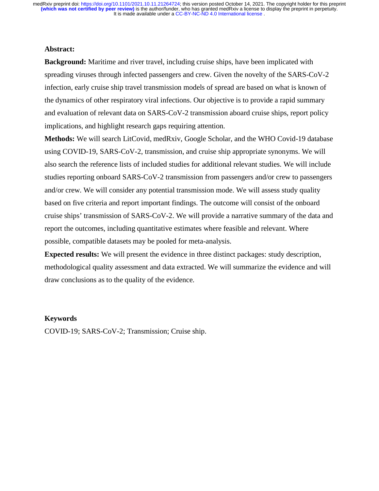## **Abstract:**

**Background:** Maritime and river travel, including cruise ships, have been implicated with spreading viruses through infected passengers and crew. Given the novelty of the SARS-CoV-2 infection, early cruise ship travel transmission models of spread are based on what is known of the dynamics of other respiratory viral infections. Our objective is to provide a rapid summary and evaluation of relevant data on SARS-CoV-2 transmission aboard cruise ships, report policy implications, and highlight research gaps requiring attention.

**Methods:** We will search LitCovid, medRxiv, Google Scholar, and the WHO Covid-19 database using COVID-19, SARS-CoV-2, transmission, and cruise ship appropriate synonyms. We will also search the reference lists of included studies for additional relevant studies. We will include studies reporting onboard SARS-CoV-2 transmission from passengers and/or crew to passengers and/or crew. We will consider any potential transmission mode. We will assess study quality based on five criteria and report important findings. The outcome will consist of the onboard cruise ships' transmission of SARS-CoV-2. We will provide a narrative summary of the data and report the outcomes, including quantitative estimates where feasible and relevant. Where possible, compatible datasets may be pooled for meta-analysis.

**Expected results:** We will present the evidence in three distinct packages: study description, methodological quality assessment and data extracted. We will summarize the evidence and will draw conclusions as to the quality of the evidence.

## **Keywords**

COVID-19; SARS-CoV-2; Transmission; Cruise ship.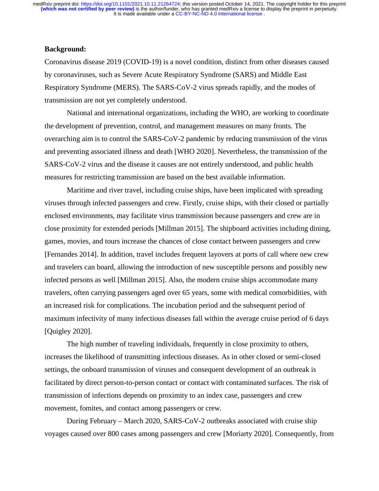#### **Background:**

Coronavirus disease 2019 (COVID-19) is a novel condition, distinct from other diseases caused by coronaviruses, such as Severe Acute Respiratory Syndrome (SARS) and Middle East Respiratory Syndrome (MERS). The SARS-CoV-2 virus spreads rapidly, and the modes of transmission are not yet completely understood.

National and international organizations, including the WHO, are working to coordinate the development of prevention, control, and management measures on many fronts. The overarching aim is to control the SARS-CoV-2 pandemic by reducing transmission of the virus and preventing associated illness and death [WHO 2020]. Nevertheless, the transmission of the SARS-CoV-2 virus and the disease it causes are not entirely understood, and public health measures for restricting transmission are based on the best available information.

Maritime and river travel, including cruise ships, have been implicated with spreading viruses through infected passengers and crew. Firstly, cruise ships, with their closed or partially enclosed environments, may facilitate virus transmission because passengers and crew are in close proximity for extended periods [Millman 2015]. The shipboard activities including dining, games, movies, and tours increase the chances of close contact between passengers and crew [Fernandes 2014]. In addition, travel includes frequent layovers at ports of call where new crew and travelers can board, allowing the introduction of new susceptible persons and possibly new infected persons as well [Millman 2015]. Also, the modern cruise ships accommodate many travelers, often carrying passengers aged over 65 years, some with medical comorbidities, with an increased risk for complications. The incubation period and the subsequent period of maximum infectivity of many infectious diseases fall within the average cruise period of 6 days [Quigley 2020].

The high number of traveling individuals, frequently in close proximity to others, increases the likelihood of transmitting infectious diseases. As in other closed or semi-closed settings, the onboard transmission of viruses and consequent development of an outbreak is facilitated by direct person-to-person contact or contact with contaminated surfaces. The risk of transmission of infections depends on proximity to an index case, passengers and crew movement, fomites, and contact among passengers or crew.

During February – March 2020, SARS-CoV-2 outbreaks associated with cruise ship voyages caused over 800 cases among passengers and crew [Moriarty 2020]. Consequently, from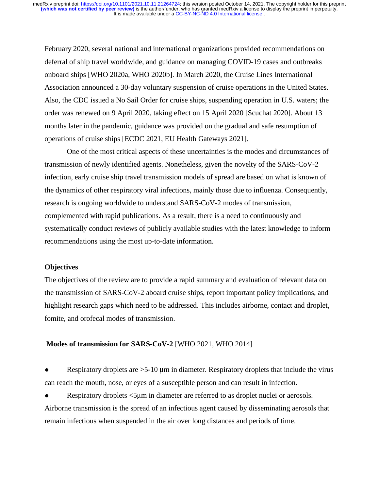February 2020, several national and international organizations provided recommendations on deferral of ship travel worldwide, and guidance on managing COVID-19 cases and outbreaks onboard ships [WHO 2020a, WHO 2020b]. In March 2020, the Cruise Lines International Association announced a 30-day voluntary suspension of cruise operations in the United States. Also, the CDC issued a No Sail Order for cruise ships, suspending operation in U.S. waters; the order was renewed on 9 April 2020, taking effect on 15 April 2020 [Scuchat 2020]. About 13 months later in the pandemic, guidance was provided on the gradual and safe resumption of operations of cruise ships [ECDC 2021, EU Health Gateways 2021].

One of the most critical aspects of these uncertainties is the modes and circumstances of transmission of newly identified agents. Nonetheless, given the novelty of the SARS-CoV-2 infection, early cruise ship travel transmission models of spread are based on what is known of the dynamics of other respiratory viral infections, mainly those due to influenza. Consequently, research is ongoing worldwide to understand SARS-CoV-2 modes of transmission, complemented with rapid publications. As a result, there is a need to continuously and systematically conduct reviews of publicly available studies with the latest knowledge to inform recommendations using the most up-to-date information.

## **Objectives**

The objectives of the review are to provide a rapid summary and evaluation of relevant data on the transmission of SARS-CoV-2 aboard cruise ships, report important policy implications, and highlight research gaps which need to be addressed. This includes airborne, contact and droplet, fomite, and orofecal modes of transmission.

## **Modes of transmission for SARS-CoV-2** [WHO 2021, WHO 2014]

Respiratory droplets are  $>5-10$  um in diameter. Respiratory droplets that include the virus can reach the mouth, nose, or eyes of a susceptible person and can result in infection.

Respiratory droplets  $\leq 5$ µm in diameter are referred to as droplet nuclei or aerosols.

Airborne transmission is the spread of an infectious agent caused by disseminating aerosols that remain infectious when suspended in the air over long distances and periods of time.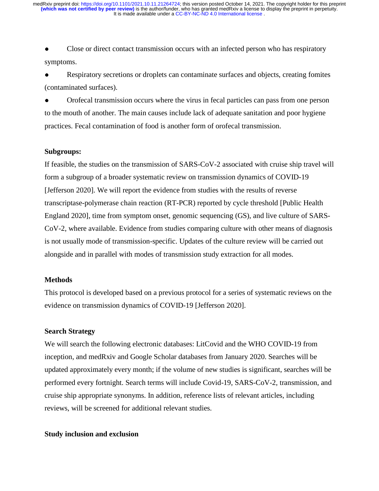Close or direct contact transmission occurs with an infected person who has respiratory symptoms.

Respiratory secretions or droplets can contaminate surfaces and objects, creating fomites (contaminated surfaces).

● Orofecal transmission occurs where the virus in fecal particles can pass from one person to the mouth of another. The main causes include lack of adequate sanitation and poor hygiene practices. Fecal contamination of food is another form of orofecal transmission.

#### **Subgroups:**

If feasible, the studies on the transmission of SARS-CoV-2 associated with cruise ship travel will form a subgroup of a broader systematic review on transmission dynamics of COVID-19 [Jefferson 2020]. We will report the evidence from studies with the results of reverse transcriptase-polymerase chain reaction (RT-PCR) reported by cycle threshold [Public Health England 2020], time from symptom onset, genomic sequencing (GS), and live culture of SARS-CoV-2, where available. Evidence from studies comparing culture with other means of diagnosis is not usually mode of transmission-specific. Updates of the culture review will be carried out alongside and in parallel with modes of transmission study extraction for all modes.

# **Methods**

This protocol is developed based on a previous protocol for a series of systematic reviews on the evidence on transmission dynamics of COVID-19 [Jefferson 2020].

# **Search Strategy**

We will search the following electronic databases: LitCovid and the WHO COVID-19 from inception, and medRxiv and Google Scholar databases from January 2020. Searches will be updated approximately every month; if the volume of new studies is significant, searches will be performed every fortnight. Search terms will include Covid-19, SARS-CoV-2, transmission, and cruise ship appropriate synonyms. In addition, reference lists of relevant articles, including reviews, will be screened for additional relevant studies.

#### **Study inclusion and exclusion**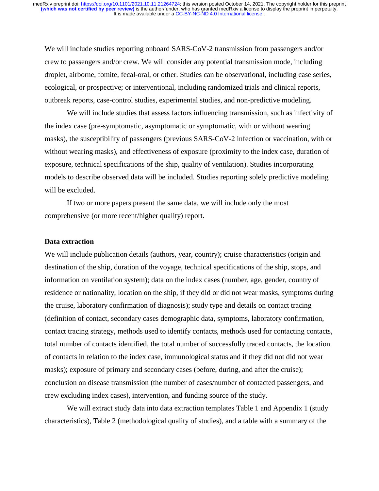We will include studies reporting onboard SARS-CoV-2 transmission from passengers and/or crew to passengers and/or crew. We will consider any potential transmission mode, including droplet, airborne, fomite, fecal-oral, or other. Studies can be observational, including case series, ecological, or prospective; or interventional, including randomized trials and clinical reports, outbreak reports, case-control studies, experimental studies, and non-predictive modeling.

We will include studies that assess factors influencing transmission, such as infectivity of the index case (pre-symptomatic, asymptomatic or symptomatic, with or without wearing masks), the susceptibility of passengers (previous SARS-CoV-2 infection or vaccination, with or without wearing masks), and effectiveness of exposure (proximity to the index case, duration of exposure, technical specifications of the ship, quality of ventilation). Studies incorporating models to describe observed data will be included. Studies reporting solely predictive modeling will be excluded.

If two or more papers present the same data, we will include only the most comprehensive (or more recent/higher quality) report.

#### **Data extraction**

We will include publication details (authors, year, country); cruise characteristics (origin and destination of the ship, duration of the voyage, technical specifications of the ship, stops, and information on ventilation system); data on the index cases (number, age, gender, country of residence or nationality, location on the ship, if they did or did not wear masks, symptoms during the cruise, laboratory confirmation of diagnosis); study type and details on contact tracing (definition of contact, secondary cases demographic data, symptoms, laboratory confirmation, contact tracing strategy, methods used to identify contacts, methods used for contacting contacts, total number of contacts identified, the total number of successfully traced contacts, the location of contacts in relation to the index case, immunological status and if they did not did not wear masks); exposure of primary and secondary cases (before, during, and after the cruise); conclusion on disease transmission (the number of cases/number of contacted passengers, and crew excluding index cases), intervention, and funding source of the study.

We will extract study data into data extraction templates Table 1 and Appendix 1 (study characteristics), Table 2 (methodological quality of studies), and a table with a summary of the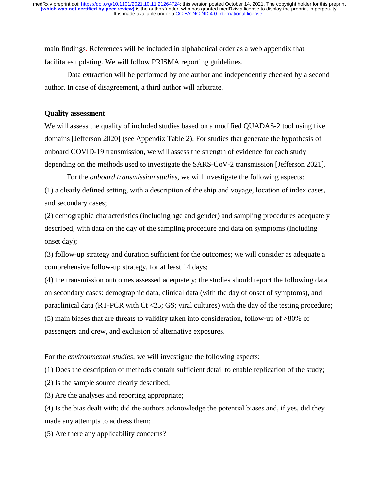main findings. References will be included in alphabetical order as a web appendix that facilitates updating. We will follow PRISMA reporting guidelines.

Data extraction will be performed by one author and independently checked by a second author. In case of disagreement, a third author will arbitrate.

## **Quality assessment**

We will assess the quality of included studies based on a modified QUADAS-2 tool using five domains [Jefferson 2020] (see Appendix Table 2). For studies that generate the hypothesis of onboard COVID-19 transmission, we will assess the strength of evidence for each study depending on the methods used to investigate the SARS-CoV-2 transmission [Jefferson 2021].

For the *onboard transmission studies*, we will investigate the following aspects: (1) a clearly defined setting, with a description of the ship and voyage, location of index cases, and secondary cases;

(2) demographic characteristics (including age and gender) and sampling procedures adequately described, with data on the day of the sampling procedure and data on symptoms (including onset day);

(3) follow-up strategy and duration sufficient for the outcomes; we will consider as adequate a comprehensive follow-up strategy, for at least 14 days;

(4) the transmission outcomes assessed adequately; the studies should report the following data on secondary cases: demographic data, clinical data (with the day of onset of symptoms), and paraclinical data (RT-PCR with Ct <25; GS; viral cultures) with the day of the testing procedure; (5) main biases that are threats to validity taken into consideration, follow-up of >80% of passengers and crew, and exclusion of alternative exposures.

For the *environmental studies*, we will investigate the following aspects:

(1) Does the description of methods contain sufficient detail to enable replication of the study;

(2) Is the sample source clearly described;

(3) Are the analyses and reporting appropriate;

(4) Is the bias dealt with; did the authors acknowledge the potential biases and, if yes, did they made any attempts to address them;

(5) Are there any applicability concerns?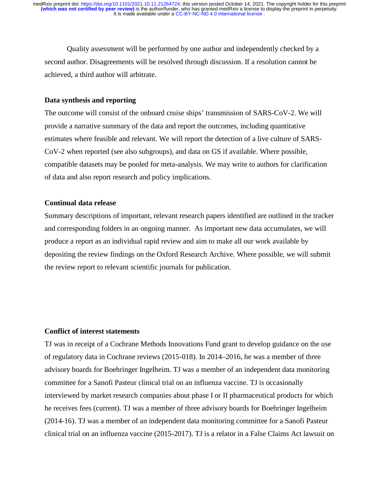Quality assessment will be performed by one author and independently checked by a second author. Disagreements will be resolved through discussion. If a resolution cannot be achieved, a third author will arbitrate.

#### **Data synthesis and reporting**

The outcome will consist of the onboard cruise ships' transmission of SARS-CoV-2. We will provide a narrative summary of the data and report the outcomes, including quantitative estimates where feasible and relevant. We will report the detection of a live culture of SARS-CoV-2 when reported (see also subgroups), and data on GS if available. Where possible, compatible datasets may be pooled for meta-analysis. We may write to authors for clarification of data and also report research and policy implications.

#### **Continual data release**

Summary descriptions of important, relevant research papers identified are outlined in the tracker and corresponding folders in an ongoing manner. As important new data accumulates, we will produce a report as an individual rapid review and aim to make all our work available by depositing the review findings on the Oxford Research Archive. Where possible, we will submit the review report to relevant scientific journals for publication.

# **Conflict of interest statements**

TJ was in receipt of a Cochrane Methods Innovations Fund grant to develop guidance on the use of regulatory data in Cochrane reviews (2015-018). In 2014–2016, he was a member of three advisory boards for Boehringer Ingelheim. TJ was a member of an independent data monitoring committee for a Sanofi Pasteur clinical trial on an influenza vaccine. TJ is occasionally interviewed by market research companies about phase I or II pharmaceutical products for which he receives fees (current). TJ was a member of three advisory boards for Boehringer Ingelheim (2014-16). TJ was a member of an independent data monitoring committee for a Sanofi Pasteur clinical trial on an influenza vaccine (2015-2017). TJ is a relator in a False Claims Act lawsuit on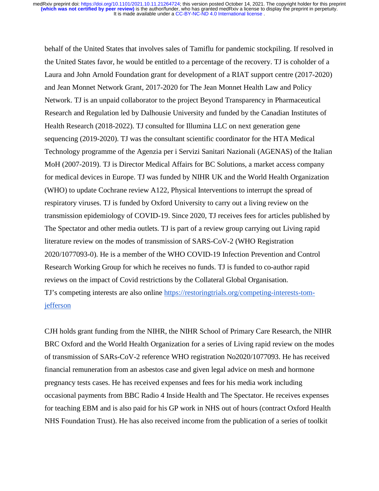behalf of the United States that involves sales of Tamiflu for pandemic stockpiling. If resolved in the United States favor, he would be entitled to a percentage of the recovery. TJ is coholder of a Laura and John Arnold Foundation grant for development of a RIAT support centre (2017-2020) and Jean Monnet Network Grant, 2017-2020 for The Jean Monnet Health Law and Policy Network. TJ is an unpaid collaborator to the project Beyond Transparency in Pharmaceutical Research and Regulation led by Dalhousie University and funded by the Canadian Institutes of Health Research (2018-2022). TJ consulted for Illumina LLC on next generation gene sequencing (2019-2020). TJ was the consultant scientific coordinator for the HTA Medical Technology programme of the Agenzia per i Servizi Sanitari Nazionali (AGENAS) of the Italian MoH (2007-2019). TJ is Director Medical Affairs for BC Solutions, a market access company for medical devices in Europe. TJ was funded by NIHR UK and the World Health Organization (WHO) to update Cochrane review A122, Physical Interventions to interrupt the spread of respiratory viruses. TJ is funded by Oxford University to carry out a living review on the transmission epidemiology of COVID-19. Since 2020, TJ receives fees for articles published by The Spectator and other media outlets. TJ is part of a review group carrying out Living rapid literature review on the modes of transmission of SARS-CoV-2 (WHO Registration 2020/1077093-0). He is a member of the WHO COVID-19 Infection Prevention and Control Research Working Group for which he receives no funds. TJ is funded to co-author rapid reviews on the impact of Covid restrictions by the Collateral Global Organisation*.*  TJ's competing interests are also online https://restoringtrials.org/competing-interests-tomjefferson

CJH holds grant funding from the NIHR, the NIHR School of Primary Care Research, the NIHR BRC Oxford and the World Health Organization for a series of Living rapid review on the modes of transmission of SARs-CoV-2 reference WHO registration No2020/1077093. He has received financial remuneration from an asbestos case and given legal advice on mesh and hormone pregnancy tests cases. He has received expenses and fees for his media work including occasional payments from BBC Radio 4 Inside Health and The Spectator. He receives expenses for teaching EBM and is also paid for his GP work in NHS out of hours (contract Oxford Health NHS Foundation Trust). He has also received income from the publication of a series of toolkit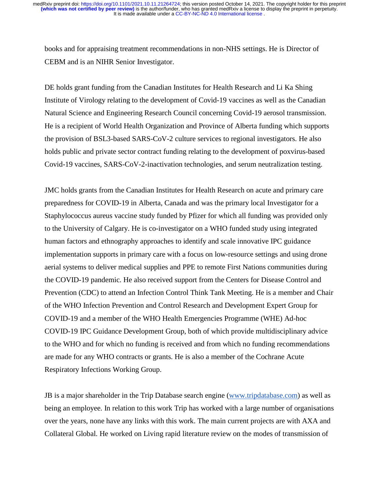books and for appraising treatment recommendations in non-NHS settings. He is Director of CEBM and is an NIHR Senior Investigator.

DE holds grant funding from the Canadian Institutes for Health Research and Li Ka Shing Institute of Virology relating to the development of Covid-19 vaccines as well as the Canadian Natural Science and Engineering Research Council concerning Covid-19 aerosol transmission. He is a recipient of World Health Organization and Province of Alberta funding which supports the provision of BSL3-based SARS-CoV-2 culture services to regional investigators. He also holds public and private sector contract funding relating to the development of poxvirus-based Covid-19 vaccines, SARS-CoV-2-inactivation technologies, and serum neutralization testing.

JMC holds grants from the Canadian Institutes for Health Research on acute and primary care preparedness for COVID-19 in Alberta, Canada and was the primary local Investigator for a Staphylococcus aureus vaccine study funded by Pfizer for which all funding was provided only to the University of Calgary. He is co-investigator on a WHO funded study using integrated human factors and ethnography approaches to identify and scale innovative IPC guidance implementation supports in primary care with a focus on low-resource settings and using drone aerial systems to deliver medical supplies and PPE to remote First Nations communities during the COVID-19 pandemic. He also received support from the Centers for Disease Control and Prevention (CDC) to attend an Infection Control Think Tank Meeting. He is a member and Chair of the WHO Infection Prevention and Control Research and Development Expert Group for COVID-19 and a member of the WHO Health Emergencies Programme (WHE) Ad-hoc COVID-19 IPC Guidance Development Group, both of which provide multidisciplinary advice to the WHO and for which no funding is received and from which no funding recommendations are made for any WHO contracts or grants. He is also a member of the Cochrane Acute Respiratory Infections Working Group.

JB is a major shareholder in the Trip Database search engine (www.tripdatabase.com) as well as being an employee. In relation to this work Trip has worked with a large number of organisations over the years, none have any links with this work. The main current projects are with AXA and Collateral Global. He worked on Living rapid literature review on the modes of transmission of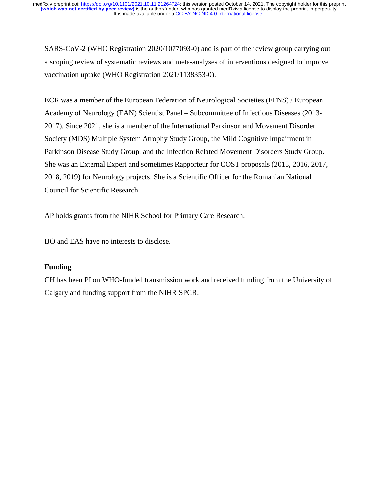SARS-CoV-2 (WHO Registration 2020/1077093-0) and is part of the review group carrying out a scoping review of systematic reviews and meta-analyses of interventions designed to improve vaccination uptake (WHO Registration 2021/1138353-0).

ECR was a member of the European Federation of Neurological Societies (EFNS) / European Academy of Neurology (EAN) Scientist Panel – Subcommittee of Infectious Diseases (2013- 2017). Since 2021, she is a member of the International Parkinson and Movement Disorder Society (MDS) Multiple System Atrophy Study Group, the Mild Cognitive Impairment in Parkinson Disease Study Group, and the Infection Related Movement Disorders Study Group. She was an External Expert and sometimes Rapporteur for COST proposals (2013, 2016, 2017, 2018, 2019) for Neurology projects. She is a Scientific Officer for the Romanian National Council for Scientific Research.

AP holds grants from the NIHR School for Primary Care Research.

IJO and EAS have no interests to disclose.

# **Funding**

CH has been PI on WHO-funded transmission work and received funding from the University of Calgary and funding support from the NIHR SPCR.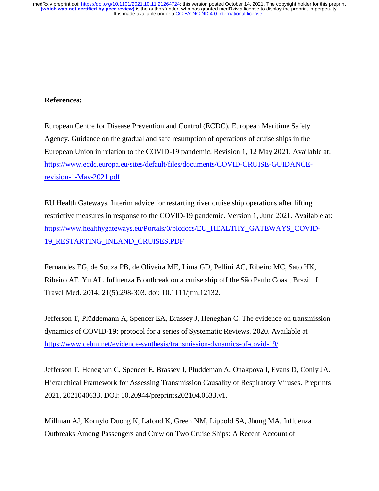# **References:**

European Centre for Disease Prevention and Control (ECDC). European Maritime Safety Agency. Guidance on the gradual and safe resumption of operations of cruise ships in the European Union in relation to the COVID-19 pandemic. Revision 1, 12 May 2021. Available at: https://www.ecdc.europa.eu/sites/default/files/documents/COVID-CRUISE-GUIDANCErevision-1-May-2021.pdf

EU Health Gateways. Interim advice for restarting river cruise ship operations after lifting restrictive measures in response to the COVID-19 pandemic. Version 1, June 2021. Available at: https://www.healthygateways.eu/Portals/0/plcdocs/EU\_HEALTHY\_GATEWAYS\_COVID-19\_RESTARTING\_INLAND\_CRUISES.PDF

Fernandes EG, de Souza PB, de Oliveira ME, Lima GD, Pellini AC, Ribeiro MC, Sato HK, Ribeiro AF, Yu AL. Influenza B outbreak on a cruise ship off the São Paulo Coast, Brazil. J Travel Med. 2014; 21(5):298-303. doi: 10.1111/jtm.12132.

Jefferson T, Plüddemann A, Spencer EA, Brassey J, Heneghan C. The evidence on transmission dynamics of COVID-19: protocol for a series of Systematic Reviews. 2020. Available at https://www.cebm.net/evidence-synthesis/transmission-dynamics-of-covid-19/

Jefferson T, Heneghan C, Spencer E, Brassey J, Pluddeman A, Onakpoya I, Evans D, Conly JA. Hierarchical Framework for Assessing Transmission Causality of Respiratory Viruses. Preprints 2021, 2021040633. DOI: 10.20944/preprints202104.0633.v1.

Millman AJ, Kornylo Duong K, Lafond K, Green NM, Lippold SA, Jhung MA. Influenza Outbreaks Among Passengers and Crew on Two Cruise Ships: A Recent Account of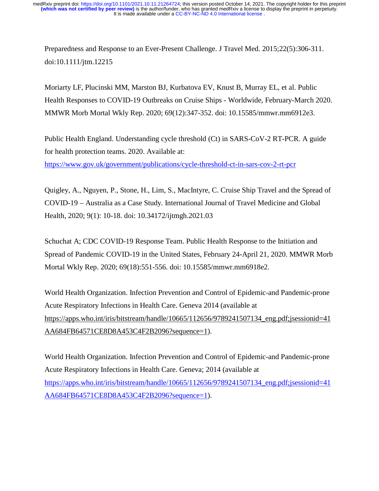Preparedness and Response to an Ever-Present Challenge. J Travel Med. 2015;22(5):306-311. doi:10.1111/jtm.12215

Moriarty LF, Plucinski MM, Marston BJ, Kurbatova EV, Knust B, Murray EL, et al. Public Health Responses to COVID-19 Outbreaks on Cruise Ships - Worldwide, February-March 2020. MMWR Morb Mortal Wkly Rep. 2020; 69(12):347-352. doi: 10.15585/mmwr.mm6912e3.

Public Health England. Understanding cycle threshold (Ct) in SARS-CoV-2 RT-PCR. A guide for health protection teams. 2020. Available at:

https://www.gov.uk/government/publications/cycle-threshold-ct-in-sars-cov-2-rt-pcr

Quigley, A., Nguyen, P., Stone, H., Lim, S., MacIntyre, C. Cruise Ship Travel and the Spread of COVID-19 – Australia as a Case Study. International Journal of Travel Medicine and Global Health, 2020; 9(1): 10-18. doi: 10.34172/ijtmgh.2021.03

Schuchat A; CDC COVID-19 Response Team. Public Health Response to the Initiation and Spread of Pandemic COVID-19 in the United States, February 24-April 21, 2020. MMWR Morb Mortal Wkly Rep. 2020; 69(18):551-556. doi: 10.15585/mmwr.mm6918e2.

World Health Organization. Infection Prevention and Control of Epidemic-and Pandemic-prone Acute Respiratory Infections in Health Care. Geneva 2014 (available at https://apps.who.int/iris/bitstream/handle/10665/112656/9789241507134\_eng.pdf;jsessionid=41 AA684FB64571CE8D8A453C4F2B2096?sequence=1).

World Health Organization. Infection Prevention and Control of Epidemic-and Pandemic-prone Acute Respiratory Infections in Health Care. Geneva; 2014 (available at https://apps.who.int/iris/bitstream/handle/10665/112656/9789241507134\_eng.pdf;jsessionid=41 AA684FB64571CE8D8A453C4F2B2096?sequence=1).